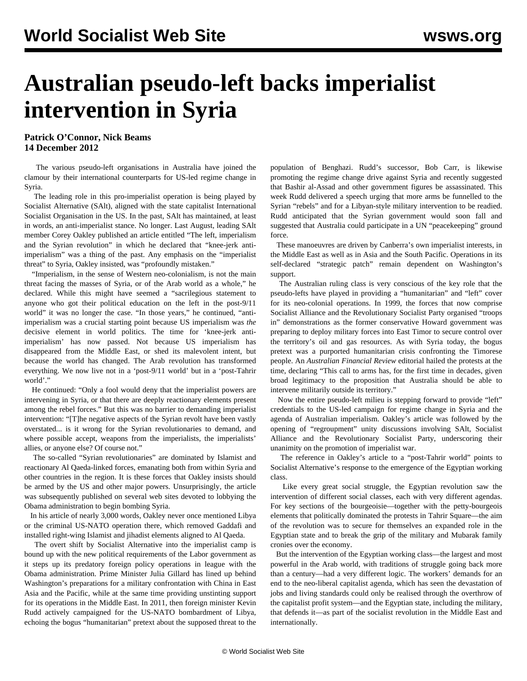## **Australian pseudo-left backs imperialist intervention in Syria**

**Patrick O'Connor, Nick Beams 14 December 2012**

 The various pseudo-left organisations in Australia have joined the clamour by their international counterparts for US-led regime change in Syria.

 The leading role in this pro-imperialist operation is being played by Socialist Alternative (SAlt), aligned with the state capitalist International Socialist Organisation in the US. In the past, SAlt has maintained, at least in words, an anti-imperialist stance. No longer. Last August, leading SAlt member Corey Oakley published an article entitled "The left, imperialism and the Syrian revolution" in which he declared that "knee-jerk antiimperialism" was a thing of the past. Any emphasis on the "imperialist threat" to Syria, Oakley insisted, was "profoundly mistaken."

 "Imperialism, in the sense of Western neo-colonialism, is not the main threat facing the masses of Syria, or of the Arab world as a whole," he declared. While this might have seemed a "sacrilegious statement to anyone who got their political education on the left in the post-9/11 world" it was no longer the case. "In those years," he continued, "antiimperialism was a crucial starting point because US imperialism was *the* decisive element in world politics. The time for 'knee-jerk antiimperialism' has now passed. Not because US imperialism has disappeared from the Middle East, or shed its malevolent intent, but because the world has changed. The Arab revolution has transformed everything. We now live not in a 'post-9/11 world' but in a 'post-Tahrir world'."

 He continued: "Only a fool would deny that the imperialist powers are intervening in Syria, or that there are deeply reactionary elements present among the rebel forces." But this was no barrier to demanding imperialist intervention: "[T]he negative aspects of the Syrian revolt have been vastly overstated... is it wrong for the Syrian revolutionaries to demand, and where possible accept, weapons from the imperialists, the imperialists' allies, or anyone else? Of course not."

 The so-called "Syrian revolutionaries" are dominated by Islamist and reactionary Al Qaeda-linked forces, emanating both from within Syria and other countries in the region. It is these forces that Oakley insists should be armed by the US and other major powers. Unsurprisingly, the article was subsequently published on several web sites devoted to lobbying the Obama administration to begin bombing Syria.

 In his article of nearly 3,000 words, Oakley never once mentioned Libya or the criminal US-NATO operation there, which removed Gaddafi and installed right-wing Islamist and jihadist elements aligned to Al Qaeda.

 The overt shift by Socialist Alternative into the imperialist camp is bound up with the new political requirements of the Labor government as it steps up its predatory foreign policy operations in league with the Obama administration. Prime Minister Julia Gillard has lined up behind Washington's preparations for a military confrontation with China in East Asia and the Pacific, while at the same time providing unstinting support for its operations in the Middle East. In 2011, then foreign minister Kevin Rudd actively campaigned for the US-NATO bombardment of Libya, echoing the bogus "humanitarian" pretext about the supposed threat to the

population of Benghazi. Rudd's successor, Bob Carr, is likewise promoting the regime change drive against Syria and recently suggested that Bashir al-Assad and other government figures be assassinated. This week Rudd delivered a speech urging that more arms be funnelled to the Syrian "rebels" and for a Libyan-style military intervention to be readied. Rudd anticipated that the Syrian government would soon fall and suggested that Australia could participate in a UN "peacekeeping" ground force.

 These manoeuvres are driven by Canberra's own imperialist interests, in the Middle East as well as in Asia and the South Pacific. Operations in its self-declared "strategic patch" remain dependent on Washington's support.

 The Australian ruling class is very conscious of the key role that the pseudo-lefts have played in providing a "humanitarian" and "left" cover for its neo-colonial operations. In 1999, the forces that now comprise Socialist Alliance and the Revolutionary Socialist Party organised "troops in" demonstrations as the former conservative Howard government was preparing to deploy military forces into East Timor to secure control over the territory's oil and gas resources. As with Syria today, the bogus pretext was a purported humanitarian crisis confronting the Timorese people. An *Australian Financial Review* editorial hailed the protests at the time, declaring "This call to arms has, for the first time in decades, given broad legitimacy to the proposition that Australia should be able to intervene militarily outside its territory."

 Now the entire pseudo-left milieu is stepping forward to provide "left" credentials to the US-led campaign for regime change in Syria and the agenda of Australian imperialism. Oakley's article was followed by the opening of "regroupment" unity discussions involving SAlt, Socialist Alliance and the Revolutionary Socialist Party, underscoring their unanimity on the promotion of imperialist war.

 The reference in Oakley's article to a "post-Tahrir world" points to Socialist Alternative's response to the emergence of the Egyptian working class.

 Like every great social struggle, the Egyptian revolution saw the intervention of different social classes, each with very different agendas. For key sections of the bourgeoisie—together with the petty-bourgeois elements that politically dominated the protests in Tahrir Square—the aim of the revolution was to secure for themselves an expanded role in the Egyptian state and to break the grip of the military and Mubarak family cronies over the economy.

 But the intervention of the Egyptian working class—the largest and most powerful in the Arab world, with traditions of struggle going back more than a century—had a very different logic. The workers' demands for an end to the neo-liberal capitalist agenda, which has seen the devastation of jobs and living standards could only be realised through the overthrow of the capitalist profit system—and the Egyptian state, including the military, that defends it—as part of the socialist revolution in the Middle East and internationally.